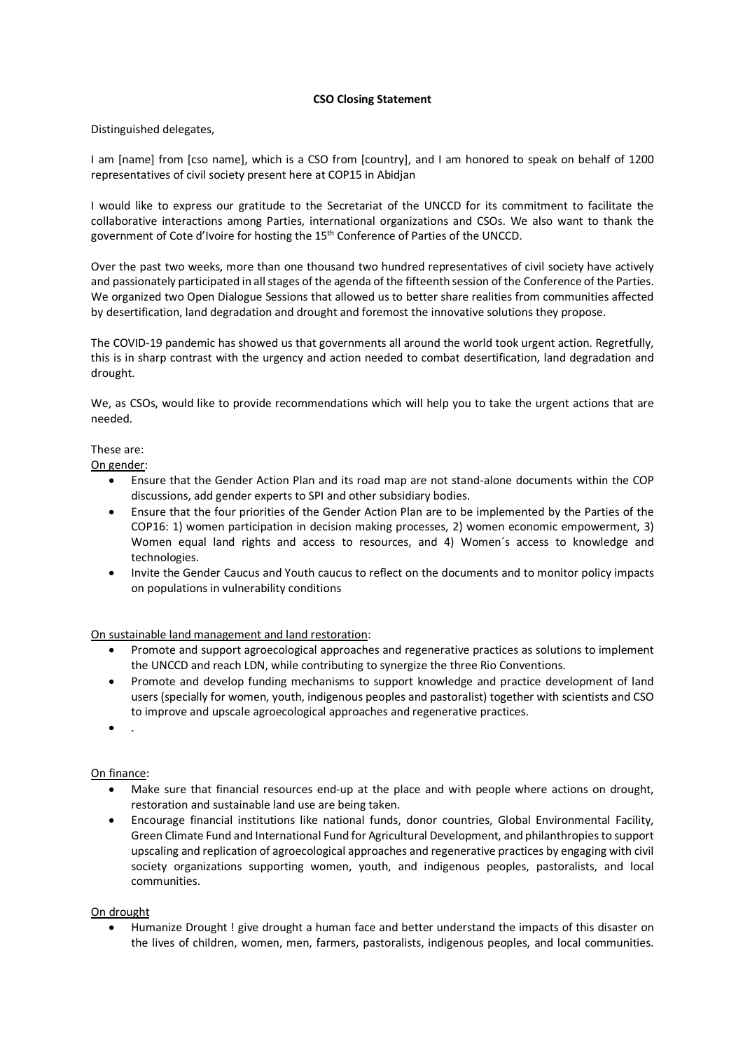## **CSO Closing Statement**

## Distinguished delegates,

I am [name] from [cso name], which is a CSO from [country], and I am honored to speak on behalf of 1200 representatives of civil society present here at COP15 in Abidjan

I would like to express our gratitude to the Secretariat of the UNCCD for its commitment to facilitate the collaborative interactions among Parties, international organizations and CSOs. We also want to thank the government of Cote d'Ivoire for hosting the 15th Conference of Parties of the UNCCD.

Over the past two weeks, more than one thousand two hundred representatives of civil society have actively and passionately participated in all stages of the agenda of the fifteenth session of the Conference of the Parties. We organized two Open Dialogue Sessions that allowed us to better share realities from communities affected by desertification, land degradation and drought and foremost the innovative solutions they propose.

The COVID-19 pandemic has showed us that governments all around the world took urgent action. Regretfully, this is in sharp contrast with the urgency and action needed to combat desertification, land degradation and drought.

We, as CSOs, would like to provide recommendations which will help you to take the urgent actions that are needed.

## These are:

On gender:

- Ensure that the Gender Action Plan and its road map are not stand-alone documents within the COP discussions, add gender experts to SPI and other subsidiary bodies.
- Ensure that the four priorities of the Gender Action Plan are to be implemented by the Parties of the COP16: 1) women participation in decision making processes, 2) women economic empowerment, 3) Women equal land rights and access to resources, and 4) Women´s access to knowledge and technologies.
- Invite the Gender Caucus and Youth caucus to reflect on the documents and to monitor policy impacts on populations in vulnerability conditions

On sustainable land management and land restoration:

- Promote and support agroecological approaches and regenerative practices as solutions to implement the UNCCD and reach LDN, while contributing to synergize the three Rio Conventions.
- Promote and develop funding mechanisms to support knowledge and practice development of land users (specially for women, youth, indigenous peoples and pastoralist) together with scientists and CSO to improve and upscale agroecological approaches and regenerative practices.
- .

# On finance:

- Make sure that financial resources end-up at the place and with people where actions on drought, restoration and sustainable land use are being taken.
- Encourage financial institutions like national funds, donor countries, Global Environmental Facility, Green Climate Fund and International Fund for Agricultural Development, and philanthropies to support upscaling and replication of agroecological approaches and regenerative practices by engaging with civil society organizations supporting women, youth, and indigenous peoples, pastoralists, and local communities.

#### On drought

• Humanize Drought ! give drought a human face and better understand the impacts of this disaster on the lives of children, women, men, farmers, pastoralists, indigenous peoples, and local communities.